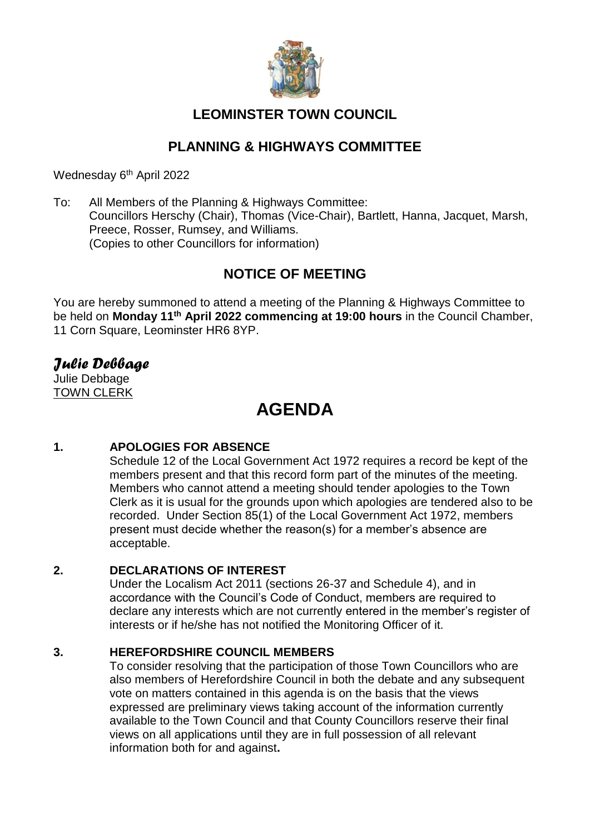

# **LEOMINSTER TOWN COUNCIL**

# **PLANNING & HIGHWAYS COMMITTEE**

Wednesday 6<sup>th</sup> April 2022

To: All Members of the Planning & Highways Committee: Councillors Herschy (Chair), Thomas (Vice-Chair), Bartlett, Hanna, Jacquet, Marsh, Preece, Rosser, Rumsey, and Williams. (Copies to other Councillors for information)

# **NOTICE OF MEETING**

You are hereby summoned to attend a meeting of the Planning & Highways Committee to be held on **Monday 11th April 2022 commencing at 19:00 hours** in the Council Chamber, 11 Corn Square, Leominster HR6 8YP.

# *Julie Debbage*

Julie Debbage TOWN CLERK

# **AGENDA**

### **1. APOLOGIES FOR ABSENCE**

Schedule 12 of the Local Government Act 1972 requires a record be kept of the members present and that this record form part of the minutes of the meeting. Members who cannot attend a meeting should tender apologies to the Town Clerk as it is usual for the grounds upon which apologies are tendered also to be recorded. Under Section 85(1) of the Local Government Act 1972, members present must decide whether the reason(s) for a member's absence are acceptable.

#### **2. DECLARATIONS OF INTEREST**

Under the Localism Act 2011 (sections 26-37 and Schedule 4), and in accordance with the Council's Code of Conduct, members are required to declare any interests which are not currently entered in the member's register of interests or if he/she has not notified the Monitoring Officer of it.

#### **3. HEREFORDSHIRE COUNCIL MEMBERS**

To consider resolving that the participation of those Town Councillors who are also members of Herefordshire Council in both the debate and any subsequent vote on matters contained in this agenda is on the basis that the views expressed are preliminary views taking account of the information currently available to the Town Council and that County Councillors reserve their final views on all applications until they are in full possession of all relevant information both for and against**.**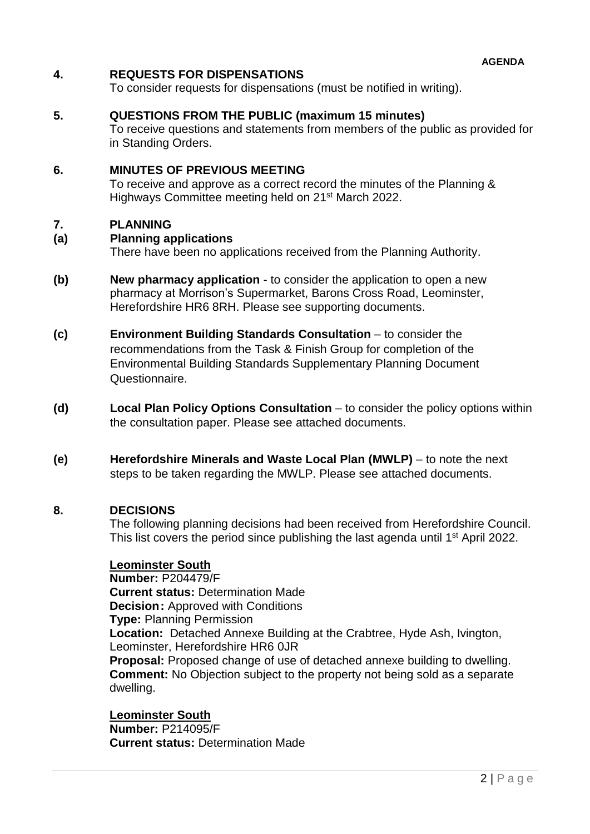#### **4. REQUESTS FOR DISPENSATIONS**

To consider requests for dispensations (must be notified in writing).

#### **5. QUESTIONS FROM THE PUBLIC (maximum 15 minutes)**

To receive questions and statements from members of the public as provided for in Standing Orders.

#### **6. MINUTES OF PREVIOUS MEETING**

To receive and approve as a correct record the minutes of the Planning & Highways Committee meeting held on 21st March 2022.

#### **7. PLANNING**

#### **(a) Planning applications**

There have been no applications received from the Planning Authority.

- **(b) New pharmacy application**  to consider the application to open a new pharmacy at Morrison's Supermarket, Barons Cross Road, Leominster, Herefordshire HR6 8RH. Please see supporting documents.
- **(c) Environment Building Standards Consultation**  to consider the recommendations from the Task & Finish Group for completion of the Environmental Building Standards Supplementary Planning Document Questionnaire.
- **(d) Local Plan Policy Options Consultation** to consider the policy options within the consultation paper. Please see attached documents.
- **(e) Herefordshire Minerals and Waste Local Plan (MWLP)** to note the next steps to be taken regarding the MWLP. Please see attached documents.

#### **8. DECISIONS**

The following planning decisions had been received from Herefordshire Council. This list covers the period since publishing the last agenda until 1<sup>st</sup> April 2022.

#### **Leominster South**

**Number:** P204479/F **Current status:** Determination Made **Decision:** Approved with Conditions **Type:** Planning Permission **Location:** Detached Annexe Building at the Crabtree, Hyde Ash, Ivington, Leominster, Herefordshire HR6 0JR **Proposal:** Proposed change of use of detached annexe building to dwelling. **Comment:** No Objection subject to the property not being sold as a separate dwelling.

**Leominster South Number:** P214095/F **Current status:** Determination Made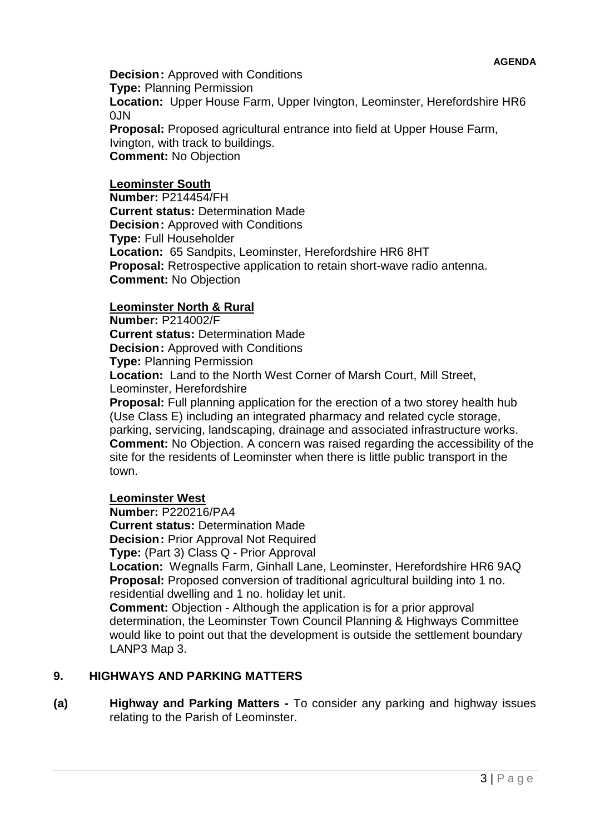**Decision:** Approved with Conditions **Type:** Planning Permission **Location:** Upper House Farm, Upper Ivington, Leominster, Herefordshire HR6  $0.1N$ **Proposal:** Proposed agricultural entrance into field at Upper House Farm,

Ivington, with track to buildings. **Comment:** No Objection

#### **Leominster South**

**Number:** P214454/FH **Current status:** Determination Made **Decision:** Approved with Conditions **Type:** Full Householder **Location:** 65 Sandpits, Leominster, Herefordshire HR6 8HT **Proposal:** Retrospective application to retain short-wave radio antenna. **Comment:** No Objection

#### **Leominster North & Rural**

**Number:** P214002/F **Current status:** Determination Made **Decision: Approved with Conditions Type:** Planning Permission **Location:** Land to the North West Corner of Marsh Court, Mill Street, Leominster, Herefordshire

**Proposal:** Full planning application for the erection of a two storey health hub (Use Class E) including an integrated pharmacy and related cycle storage, parking, servicing, landscaping, drainage and associated infrastructure works. **Comment:** No Objection. A concern was raised regarding the accessibility of the site for the residents of Leominster when there is little public transport in the town.

#### **Leominster West**

**Number:** P220216/PA4 **Current status:** Determination Made **Decision:** Prior Approval Not Required

**Type:** (Part 3) Class Q - Prior Approval

**Location:** Wegnalls Farm, Ginhall Lane, Leominster, Herefordshire HR6 9AQ **Proposal:** Proposed conversion of traditional agricultural building into 1 no. residential dwelling and 1 no. holiday let unit.

**Comment:** Objection - Although the application is for a prior approval determination, the Leominster Town Council Planning & Highways Committee would like to point out that the development is outside the settlement boundary LANP3 Map 3.

#### **9. HIGHWAYS AND PARKING MATTERS**

**(a) Highway and Parking Matters -** To consider any parking and highway issues relating to the Parish of Leominster.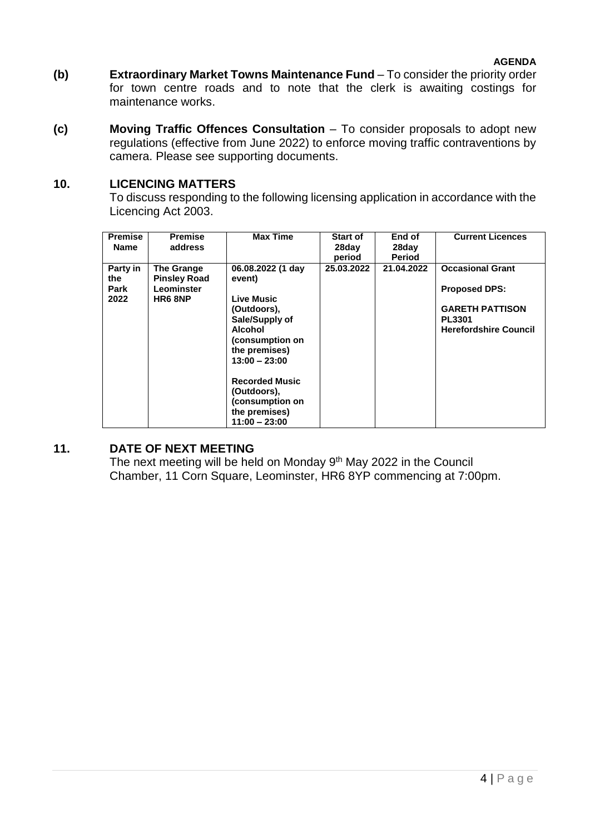- **(b) Extraordinary Market Towns Maintenance Fund** To consider the priority order for town centre roads and to note that the clerk is awaiting costings for maintenance works.
- **(c) Moving Traffic Offences Consultation** To consider proposals to adopt new regulations (effective from June 2022) to enforce moving traffic contraventions by camera. Please see supporting documents.

#### **10. LICENCING MATTERS**

To discuss responding to the following licensing application in accordance with the Licencing Act 2003.

| <b>Premise</b><br><b>Name</b>   | <b>Premise</b><br>address                                  | <b>Max Time</b>                                                                                                                                                                                                                             | <b>Start of</b><br>28day<br>period | End of<br>28day<br><b>Period</b> | <b>Current Licences</b>                                                                                                    |
|---------------------------------|------------------------------------------------------------|---------------------------------------------------------------------------------------------------------------------------------------------------------------------------------------------------------------------------------------------|------------------------------------|----------------------------------|----------------------------------------------------------------------------------------------------------------------------|
| Party in<br>the<br>Park<br>2022 | The Grange<br><b>Pinsley Road</b><br>Leominster<br>HR6 8NP | 06.08.2022 (1 day<br>event)<br>Live Music<br>(Outdoors),<br>Sale/Supply of<br>Alcohol<br>(consumption on<br>the premises)<br>$13:00 - 23:00$<br><b>Recorded Music</b><br>(Outdoors),<br>(consumption on<br>the premises)<br>$11:00 - 23:00$ | 25.03.2022                         | 21.04.2022                       | <b>Occasional Grant</b><br><b>Proposed DPS:</b><br><b>GARETH PATTISON</b><br><b>PL3301</b><br><b>Herefordshire Council</b> |

#### **11. DATE OF NEXT MEETING**

The next meeting will be held on Monday 9<sup>th</sup> May 2022 in the Council Chamber, 11 Corn Square, Leominster, HR6 8YP commencing at 7:00pm.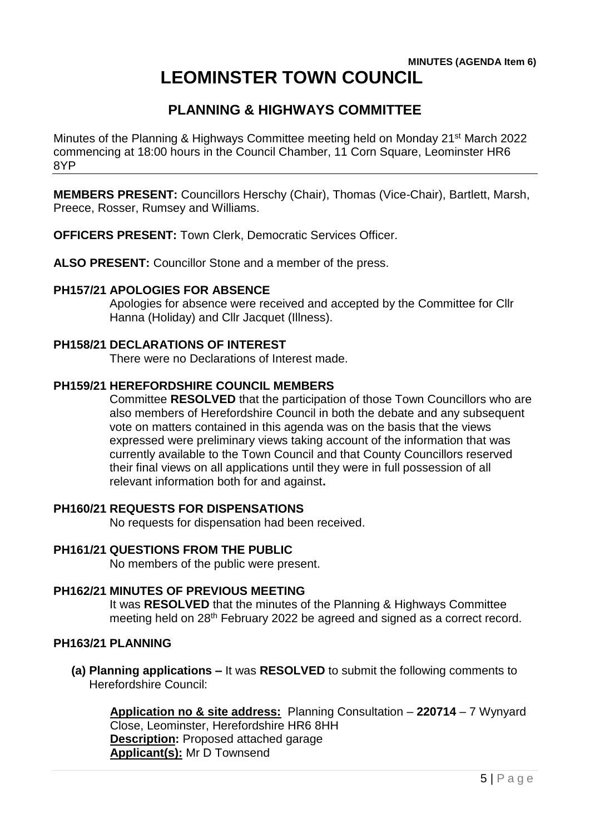#### **MINUTES (AGENDA Item 6) LEOMINSTER TOWN COUNCIL**

# **PLANNING & HIGHWAYS COMMITTEE**

Minutes of the Planning & Highways Committee meeting held on Monday 21st March 2022 commencing at 18:00 hours in the Council Chamber, 11 Corn Square, Leominster HR6 8YP

**MEMBERS PRESENT:** Councillors Herschy (Chair), Thomas (Vice-Chair), Bartlett, Marsh, Preece, Rosser, Rumsey and Williams.

**OFFICERS PRESENT:** Town Clerk, Democratic Services Officer.

**ALSO PRESENT:** Councillor Stone and a member of the press.

#### **PH157/21 APOLOGIES FOR ABSENCE**

Apologies for absence were received and accepted by the Committee for Cllr Hanna (Holiday) and Cllr Jacquet (Illness).

#### **PH158/21 DECLARATIONS OF INTEREST**

There were no Declarations of Interest made.

#### **PH159/21 HEREFORDSHIRE COUNCIL MEMBERS**

Committee **RESOLVED** that the participation of those Town Councillors who are also members of Herefordshire Council in both the debate and any subsequent vote on matters contained in this agenda was on the basis that the views expressed were preliminary views taking account of the information that was currently available to the Town Council and that County Councillors reserved their final views on all applications until they were in full possession of all relevant information both for and against**.**

#### **PH160/21 REQUESTS FOR DISPENSATIONS**

No requests for dispensation had been received.

**PH161/21 QUESTIONS FROM THE PUBLIC**

No members of the public were present.

#### **PH162/21 MINUTES OF PREVIOUS MEETING**

It was **RESOLVED** that the minutes of the Planning & Highways Committee meeting held on 28<sup>th</sup> February 2022 be agreed and signed as a correct record.

#### **PH163/21 PLANNING**

**(a) Planning applications –** It was **RESOLVED** to submit the following comments to Herefordshire Council:

**Application no & site address:** Planning Consultation – **220714** – 7 Wynyard Close, Leominster, Herefordshire HR6 8HH **Description:** Proposed attached garage **Applicant(s):** Mr D Townsend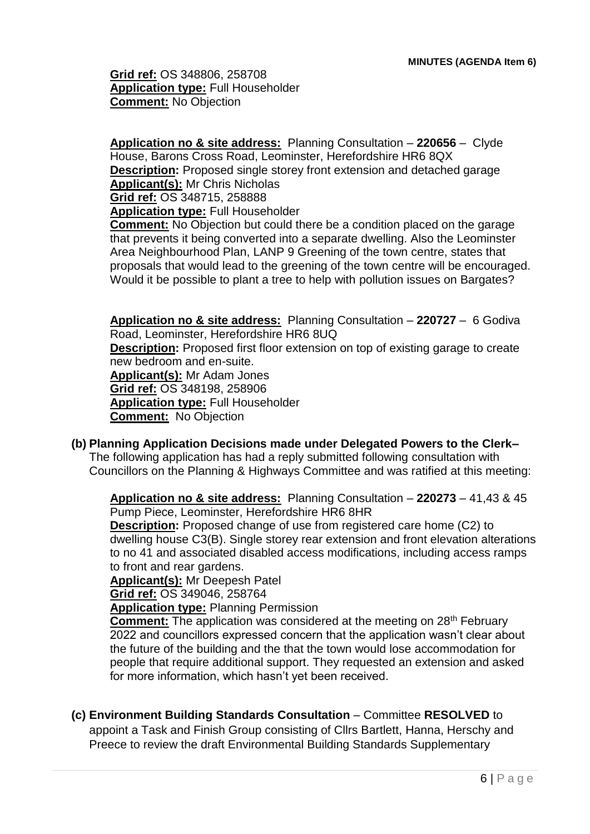**Grid ref:** OS 348806, 258708 **Application type:** Full Householder **Comment:** No Objection

**Application no & site address:** Planning Consultation – **220656** – Clyde House, Barons Cross Road, Leominster, Herefordshire HR6 8QX **Description:** Proposed single storey front extension and detached garage **Applicant(s):** Mr Chris Nicholas **Grid ref:** OS 348715, 258888 **Application type:** Full Householder **Comment:** No Objection but could there be a condition placed on the garage

that prevents it being converted into a separate dwelling. Also the Leominster Area Neighbourhood Plan, LANP 9 Greening of the town centre, states that proposals that would lead to the greening of the town centre will be encouraged. Would it be possible to plant a tree to help with pollution issues on Bargates?

**Application no & site address:** Planning Consultation – **220727** – 6 Godiva Road, Leominster, Herefordshire HR6 8UQ **Description:** Proposed first floor extension on top of existing garage to create new bedroom and en-suite. **Applicant(s):** Mr Adam Jones **Grid ref:** OS 348198, 258906 **Application type:** Full Householder **Comment:** No Objection

**(b) Planning Application Decisions made under Delegated Powers to the Clerk–** The following application has had a reply submitted following consultation with Councillors on the Planning & Highways Committee and was ratified at this meeting:

**Application no & site address:** Planning Consultation – **220273** – 41,43 & 45 Pump Piece, Leominster, Herefordshire HR6 8HR

**Description:** Proposed change of use from registered care home (C2) to dwelling house C3(B). Single storey rear extension and front elevation alterations to no 41 and associated disabled access modifications, including access ramps to front and rear gardens.

**Applicant(s):** Mr Deepesh Patel

**Grid ref:** OS 349046, 258764

**Application type:** Planning Permission

**Comment:** The application was considered at the meeting on 28<sup>th</sup> February 2022 and councillors expressed concern that the application wasn't clear about the future of the building and the that the town would lose accommodation for people that require additional support. They requested an extension and asked for more information, which hasn't yet been received.

**(c) Environment Building Standards Consultation** – Committee **RESOLVED** to

appoint a Task and Finish Group consisting of Cllrs Bartlett, Hanna, Herschy and Preece to review the draft Environmental Building Standards Supplementary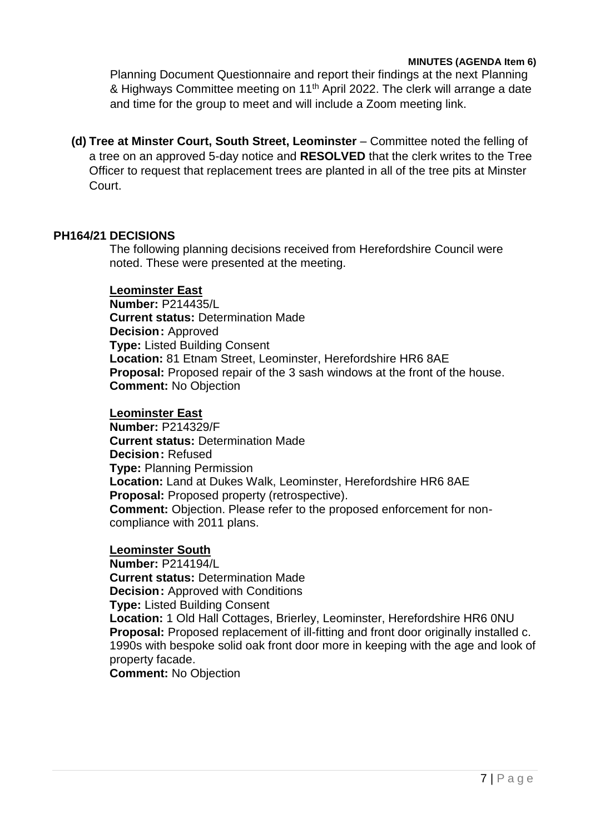#### **MINUTES (AGENDA Item 6)**

Planning Document Questionnaire and report their findings at the next Planning & Highways Committee meeting on 11<sup>th</sup> April 2022. The clerk will arrange a date and time for the group to meet and will include a Zoom meeting link.

**(d) Tree at Minster Court, South Street, Leominster** – Committee noted the felling of a tree on an approved 5-day notice and **RESOLVED** that the clerk writes to the Tree Officer to request that replacement trees are planted in all of the tree pits at Minster Court.

#### **PH164/21 DECISIONS**

The following planning decisions received from Herefordshire Council were noted. These were presented at the meeting.

#### **Leominster East**

**Number:** P214435/L **Current status:** Determination Made **Decision:** Approved **Type:** Listed Building Consent **Location:** 81 Etnam Street, Leominster, Herefordshire HR6 8AE **Proposal:** Proposed repair of the 3 sash windows at the front of the house. **Comment:** No Objection

#### **Leominster East**

**Number:** P214329/F **Current status:** Determination Made **Decision:** Refused **Type:** Planning Permission **Location:** Land at Dukes Walk, Leominster, Herefordshire HR6 8AE **Proposal:** Proposed property (retrospective). **Comment:** Objection. Please refer to the proposed enforcement for noncompliance with 2011 plans.

#### **Leominster South**

**Number:** P214194/L **Current status:** Determination Made **Decision: Approved with Conditions Type:** Listed Building Consent **Location:** 1 Old Hall Cottages, Brierley, Leominster, Herefordshire HR6 0NU **Proposal:** Proposed replacement of ill-fitting and front door originally installed c. 1990s with bespoke solid oak front door more in keeping with the age and look of property facade. **Comment:** No Objection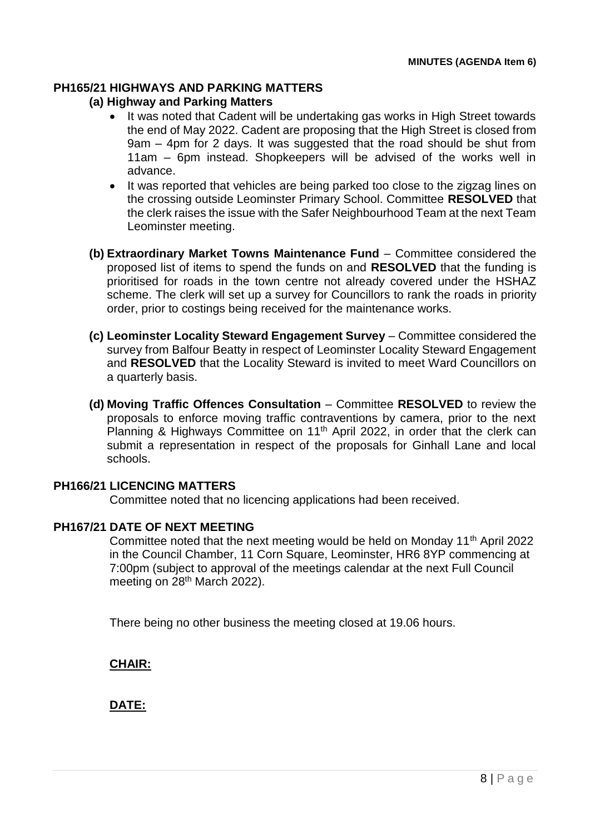#### **PH165/21 HIGHWAYS AND PARKING MATTERS**

#### **(a) Highway and Parking Matters**

- It was noted that Cadent will be undertaking gas works in High Street towards the end of May 2022. Cadent are proposing that the High Street is closed from 9am – 4pm for 2 days. It was suggested that the road should be shut from 11am – 6pm instead. Shopkeepers will be advised of the works well in advance.
- It was reported that vehicles are being parked too close to the zigzag lines on the crossing outside Leominster Primary School. Committee **RESOLVED** that the clerk raises the issue with the Safer Neighbourhood Team at the next Team Leominster meeting.
- **(b) Extraordinary Market Towns Maintenance Fund** Committee considered the proposed list of items to spend the funds on and **RESOLVED** that the funding is prioritised for roads in the town centre not already covered under the HSHAZ scheme. The clerk will set up a survey for Councillors to rank the roads in priority order, prior to costings being received for the maintenance works.
- **(c) Leominster Locality Steward Engagement Survey**  Committee considered the survey from Balfour Beatty in respect of Leominster Locality Steward Engagement and **RESOLVED** that the Locality Steward is invited to meet Ward Councillors on a quarterly basis.
- **(d) Moving Traffic Offences Consultation**  Committee **RESOLVED** to review the proposals to enforce moving traffic contraventions by camera, prior to the next Planning & Highways Committee on 11<sup>th</sup> April 2022, in order that the clerk can submit a representation in respect of the proposals for Ginhall Lane and local schools.

#### **PH166/21 LICENCING MATTERS**

Committee noted that no licencing applications had been received.

#### **PH167/21 DATE OF NEXT MEETING**

Committee noted that the next meeting would be held on Monday 11<sup>th</sup> April 2022 in the Council Chamber, 11 Corn Square, Leominster, HR6 8YP commencing at 7:00pm (subject to approval of the meetings calendar at the next Full Council meeting on 28<sup>th</sup> March 2022).

There being no other business the meeting closed at 19.06 hours.

**CHAIR:**

**DATE:**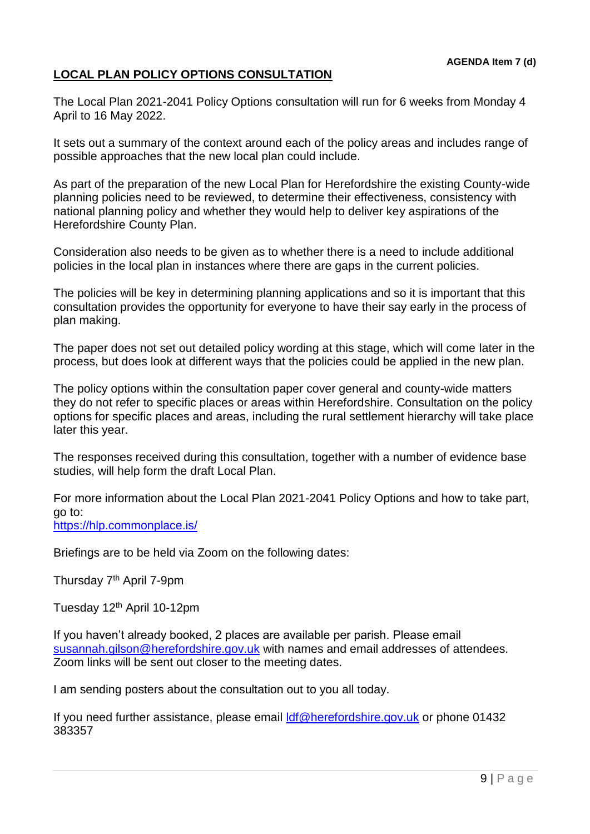#### **LOCAL PLAN POLICY OPTIONS CONSULTATION**

The Local Plan 2021-2041 Policy Options consultation will run for 6 weeks from Monday 4 April to 16 May 2022.

It sets out a summary of the context around each of the policy areas and includes range of possible approaches that the new local plan could include.

As part of the preparation of the new Local Plan for Herefordshire the existing County-wide planning policies need to be reviewed, to determine their effectiveness, consistency with national planning policy and whether they would help to deliver key aspirations of the Herefordshire County Plan.

Consideration also needs to be given as to whether there is a need to include additional policies in the local plan in instances where there are gaps in the current policies.

The policies will be key in determining planning applications and so it is important that this consultation provides the opportunity for everyone to have their say early in the process of plan making.

The paper does not set out detailed policy wording at this stage, which will come later in the process, but does look at different ways that the policies could be applied in the new plan.

The policy options within the consultation paper cover general and county-wide matters they do not refer to specific places or areas within Herefordshire. Consultation on the policy options for specific places and areas, including the rural settlement hierarchy will take place later this year.

The responses received during this consultation, together with a number of evidence base studies, will help form the draft Local Plan.

For more information about the Local Plan 2021-2041 Policy Options and how to take part, go to: [https://hlp.commonplace.is/](https://url6.mailanyone.net/v1/?m=1nbJl8-0008bI-3Y&i=57e1b682&c=RmDjGrndh98QJ0T9lh2QHILcpG2o9i10w9WGNszPBqW52OU9Mh7lqw8AhdwqnT0Mw--vyykV7s8Lo2RViJmbalmS_eglWe0nZnWY8Xqaojqc_39yWqbAdy4E5KBU7bLG2SA5PhAdCB7lVcpk32BtXWVxydPq1YH4LYEBqJx5dgtE1kyKoKRF5MtPEs605QvTNdsE7Ajqq7ZluJVKQjvELw)

Briefings are to be held via Zoom on the following dates:

Thursday 7<sup>th</sup> April 7-9pm

Tuesday 12th April 10-12pm

If you haven't already booked, 2 places are available per parish. Please email [susannah.gilson@herefordshire.gov.uk](mailto:susannah.gilson@herefordshire.gov.uk) with names and email addresses of attendees. Zoom links will be sent out closer to the meeting dates.

I am sending posters about the consultation out to you all today.

If you need further assistance, please email [ldf@herefordshire.gov.uk](mailto:ldf@herefordshire.gov.uk) or phone 01432 383357